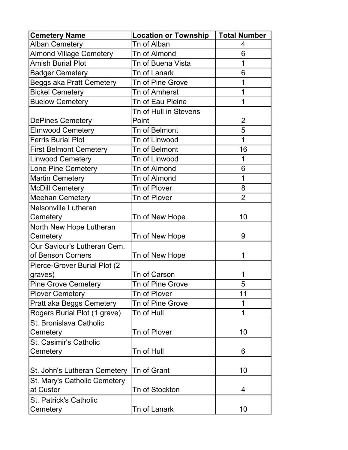| <b>Cemetery Name</b>           | <b>Location or Township</b> | <b>Total Number</b> |
|--------------------------------|-----------------------------|---------------------|
| <b>Alban Cemetery</b>          | Tn of Alban                 | 4                   |
| <b>Almond Village Cemetery</b> | Tn of Almond                | 6                   |
| <b>Amish Burial Plot</b>       | Tn of Buena Vista           | 1                   |
| <b>Badger Cemetery</b>         | Tn of Lanark                | 6                   |
| Beggs aka Pratt Cemetery       | <b>Tn of Pine Grove</b>     | 1                   |
| <b>Bickel Cemetery</b>         | Tn of Amherst               | 1                   |
| <b>Buelow Cemetery</b>         | Tn of Eau Pleine            | 1                   |
|                                | Tn of Hull in Stevens       |                     |
| <b>DePines Cemetery</b>        | Point                       | $\overline{2}$      |
| <b>Elmwood Cemetery</b>        | Tn of Belmont               | 5                   |
| <b>Ferris Burial Plot</b>      | Tn of Linwood               | 1                   |
| <b>First Belmont Cemetery</b>  | Tn of Belmont               | 16                  |
| <b>Linwood Cemetery</b>        | Tn of Linwood               | 1                   |
| Lone Pine Cemetery             | <b>Tn of Almond</b>         | 6                   |
| <b>Martin Cemetery</b>         | <b>Tn of Almond</b>         | 1                   |
| <b>McDill Cemetery</b>         | Tn of Plover                | 8                   |
| <b>Meehan Cemetery</b>         | Tn of Plover                | $\overline{2}$      |
| Nelsonville Lutheran           |                             |                     |
| Cemetery                       | Tn of New Hope              | 10                  |
| North New Hope Lutheran        |                             |                     |
| Cemetery                       | Tn of New Hope              | 9                   |
| Our Saviour's Lutheran Cem.    |                             |                     |
| of Benson Corners              | Tn of New Hope              | 1                   |
| Pierce-Grover Burial Plot (2)  |                             |                     |
| graves)                        | <b>Tn of Carson</b>         | 1                   |
| <b>Pine Grove Cemetery</b>     | Tn of Pine Grove            | 5                   |
| <b>Plover Cemetery</b>         | Tn of Plover                | 11                  |
| Pratt aka Beggs Cemetery       | Tn of Pine Grove            | 1                   |
| Rogers Burial Plot (1 grave)   | Tn of Hull                  | 1                   |
| St. Bronislava Catholic        |                             |                     |
| Cemetery                       | Tn of Plover                | 10                  |
| St. Casimir's Catholic         |                             |                     |
| Cemetery                       | Tn of Hull                  | 6                   |
|                                |                             |                     |
| St. John's Lutheran Cemetery   | Tn of Grant                 | 10                  |
| St. Mary's Catholic Cemetery   |                             |                     |
| at Custer                      | Tn of Stockton              | 4                   |
| <b>St. Patrick's Catholic</b>  |                             |                     |
| Cemetery                       | Tn of Lanark                | 10                  |